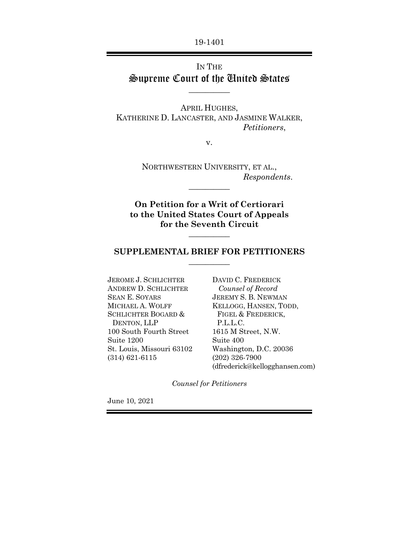19-1401

## IN THE Supreme Court of the United States

 $\overline{\phantom{a}}$   $\overline{\phantom{a}}$ 

APRIL HUGHES, KATHERINE D. LANCASTER, AND JASMINE WALKER, *Petitioners*,

v.

NORTHWESTERN UNIVERSITY, ET AL., *Respondents*.  $\overline{\phantom{a}}$   $\overline{\phantom{a}}$ 

**On Petition for a Writ of Certiorari to the United States Court of Appeals for the Seventh Circuit**

### **SUPPLEMENTAL BRIEF FOR PETITIONERS**   $\overline{\phantom{a}}$

 $\overline{\phantom{a}}$ 

JEROME J. SCHLICHTER ANDREW D. SCHLICHTER SEAN E. SOYARS MICHAEL A. WOLFF SCHLICHTER BOGARD & DENTON, LLP 100 South Fourth Street Suite 1200 St. Louis, Missouri 63102 (314) 621-6115

DAVID C. FREDERICK  *Counsel of Record*  JEREMY S. B. NEWMAN KELLOGG, HANSEN, TODD, FIGEL & FREDERICK, P.L.L.C. 1615 M Street, N.W. Suite 400 Washington, D.C. 20036 (202) 326-7900 (dfrederick@kellogghansen.com)

*Counsel for Petitioners* 

June 10, 2021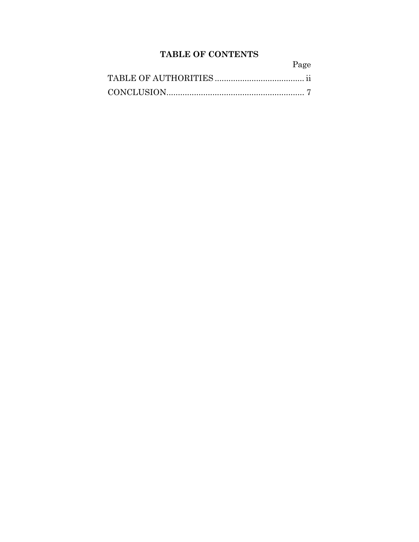# **TABLE OF CONTENTS**

| Page |
|------|
|      |
|      |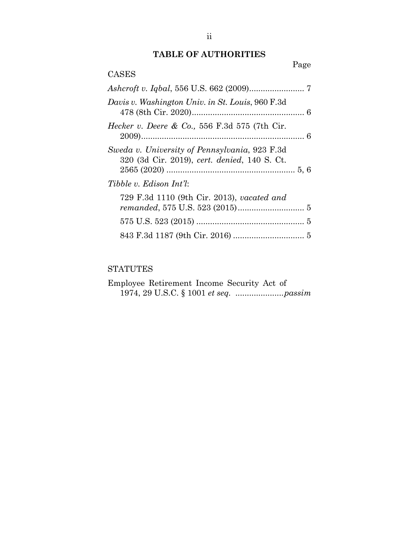### **TABLE OF AUTHORITIES**

|                                                                                               | Page |
|-----------------------------------------------------------------------------------------------|------|
| <b>CASES</b>                                                                                  |      |
|                                                                                               |      |
| Davis v. Washington Univ. in St. Louis, 960 F.3d                                              |      |
| <i>Hecker v. Deere &amp; Co.</i> , 556 F.3d 575 (7th Cir.                                     |      |
| Sweda v. University of Pennsylvania, 923 F.3d<br>320 (3d Cir. 2019), cert. denied, 140 S. Ct. |      |
| Tibble v. Edison Int'l:                                                                       |      |
| 729 F.3d 1110 (9th Cir. 2013), vacated and                                                    |      |
|                                                                                               |      |
|                                                                                               |      |

# STATUTES

|  |  | Employee Retirement Income Security Act of |  |
|--|--|--------------------------------------------|--|
|  |  |                                            |  |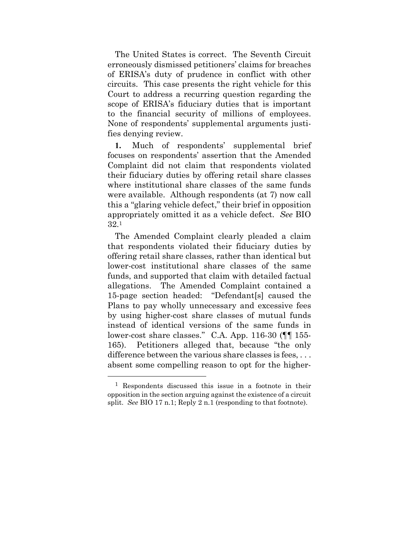The United States is correct. The Seventh Circuit erroneously dismissed petitioners' claims for breaches of ERISA's duty of prudence in conflict with other circuits. This case presents the right vehicle for this Court to address a recurring question regarding the scope of ERISA's fiduciary duties that is important to the financial security of millions of employees. None of respondents' supplemental arguments justifies denying review.

**1.** Much of respondents' supplemental brief focuses on respondents' assertion that the Amended Complaint did not claim that respondents violated their fiduciary duties by offering retail share classes where institutional share classes of the same funds were available. Although respondents (at 7) now call this a "glaring vehicle defect," their brief in opposition appropriately omitted it as a vehicle defect. *See* BIO 32.1

The Amended Complaint clearly pleaded a claim that respondents violated their fiduciary duties by offering retail share classes, rather than identical but lower-cost institutional share classes of the same funds, and supported that claim with detailed factual allegations. The Amended Complaint contained a 15-page section headed: "Defendant[s] caused the Plans to pay wholly unnecessary and excessive fees by using higher-cost share classes of mutual funds instead of identical versions of the same funds in lower-cost share classes." C.A. App. 116-30 (¶¶ 155- 165). Petitioners alleged that, because "the only difference between the various share classes is fees, ... absent some compelling reason to opt for the higher-

1

<sup>1</sup> Respondents discussed this issue in a footnote in their opposition in the section arguing against the existence of a circuit split. *See* BIO 17 n.1; Reply 2 n.1 (responding to that footnote).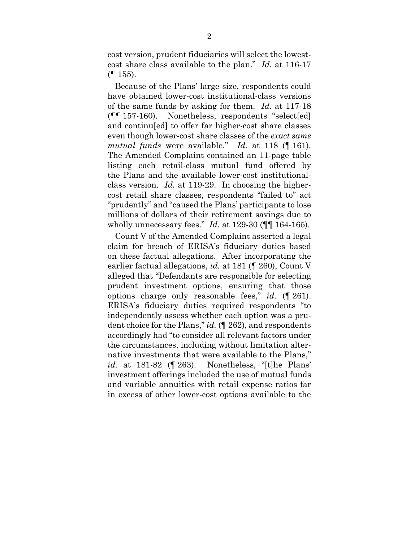cost version, prudent fiduciaries will select the lowestcost share class available to the plan." *Id.* at 116-17  $($ | 155).

Because of the Plans' large size, respondents could have obtained lower-cost institutional-class versions of the same funds by asking for them. *Id.* at 117-18 (¶¶ 157-160). Nonetheless, respondents "select[ed] and continu[ed] to offer far higher-cost share classes even though lower-cost share classes of the *exact same mutual funds* were available." *Id.* at 118 (¶ 161). The Amended Complaint contained an 11-page table listing each retail-class mutual fund offered by the Plans and the available lower-cost institutionalclass version. *Id.* at 119-29. In choosing the highercost retail share classes, respondents "failed to" act "prudently" and "caused the Plans' participants to lose millions of dollars of their retirement savings due to wholly unnecessary fees." *Id.* at 129-30 (¶¶ 164-165).

Count V of the Amended Complaint asserted a legal claim for breach of ERISA's fiduciary duties based on these factual allegations. After incorporating the earlier factual allegations, *id.* at 181 (¶ 260), Count V alleged that "Defendants are responsible for selecting prudent investment options, ensuring that those options charge only reasonable fees," *id.* (¶ 261). ERISA's fiduciary duties required respondents "to independently assess whether each option was a prudent choice for the Plans," *id.* (¶ 262), and respondents accordingly had "to consider all relevant factors under the circumstances, including without limitation alternative investments that were available to the Plans," *id.* at 181-82 (¶ 263). Nonetheless, "[t]he Plans' investment offerings included the use of mutual funds and variable annuities with retail expense ratios far in excess of other lower-cost options available to the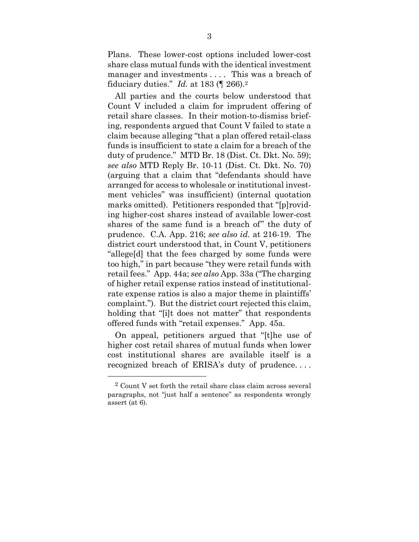Plans. These lower-cost options included lower-cost share class mutual funds with the identical investment manager and investments .... This was a breach of fiduciary duties." *Id.* at 183 (¶ 266).2

All parties and the courts below understood that Count V included a claim for imprudent offering of retail share classes. In their motion-to-dismiss briefing, respondents argued that Count V failed to state a claim because alleging "that a plan offered retail-class funds is insufficient to state a claim for a breach of the duty of prudence." MTD Br. 18 (Dist. Ct. Dkt. No. 59); *see also* MTD Reply Br. 10-11 (Dist. Ct. Dkt. No. 70) (arguing that a claim that "defendants should have arranged for access to wholesale or institutional investment vehicles" was insufficient) (internal quotation marks omitted). Petitioners responded that "[p]roviding higher-cost shares instead of available lower-cost shares of the same fund is a breach of" the duty of prudence. C.A. App. 216; *see also id.* at 216-19. The district court understood that, in Count V, petitioners "allege[d] that the fees charged by some funds were too high," in part because "they were retail funds with retail fees." App. 44a; *see also* App. 33a ("The charging of higher retail expense ratios instead of institutionalrate expense ratios is also a major theme in plaintiffs' complaint."). But the district court rejected this claim, holding that "[i]t does not matter" that respondents offered funds with "retail expenses." App. 45a.

On appeal, petitioners argued that "[t]he use of higher cost retail shares of mutual funds when lower cost institutional shares are available itself is a recognized breach of ERISA's duty of prudence. . . .

1

<sup>2</sup> Count V set forth the retail share class claim across several paragraphs, not "just half a sentence" as respondents wrongly assert (at 6).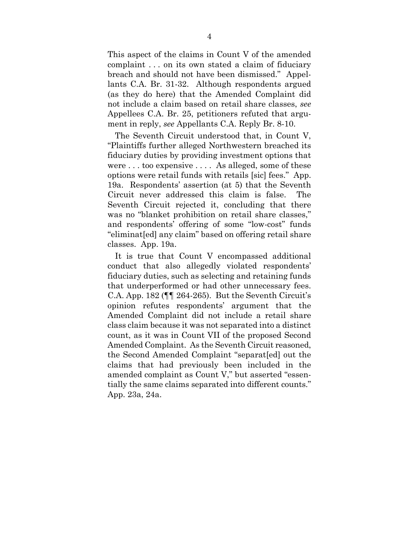This aspect of the claims in Count V of the amended complaint . . . on its own stated a claim of fiduciary breach and should not have been dismissed." Appellants C.A. Br. 31-32. Although respondents argued (as they do here) that the Amended Complaint did not include a claim based on retail share classes, *see*  Appellees C.A. Br. 25, petitioners refuted that argument in reply, *see* Appellants C.A. Reply Br. 8-10.

The Seventh Circuit understood that, in Count V, "Plaintiffs further alleged Northwestern breached its fiduciary duties by providing investment options that were . . . too expensive . . . . As alleged, some of these options were retail funds with retails [sic] fees." App. 19a. Respondents' assertion (at 5) that the Seventh Circuit never addressed this claim is false. The Seventh Circuit rejected it, concluding that there was no "blanket prohibition on retail share classes," and respondents' offering of some "low-cost" funds "eliminat[ed] any claim" based on offering retail share classes. App. 19a.

It is true that Count V encompassed additional conduct that also allegedly violated respondents' fiduciary duties, such as selecting and retaining funds that underperformed or had other unnecessary fees. C.A. App. 182 ( $\P$  $\P$  264-265). But the Seventh Circuit's opinion refutes respondents' argument that the Amended Complaint did not include a retail share class claim because it was not separated into a distinct count, as it was in Count VII of the proposed Second Amended Complaint. As the Seventh Circuit reasoned, the Second Amended Complaint "separat[ed] out the claims that had previously been included in the amended complaint as Count V," but asserted "essentially the same claims separated into different counts." App. 23a, 24a.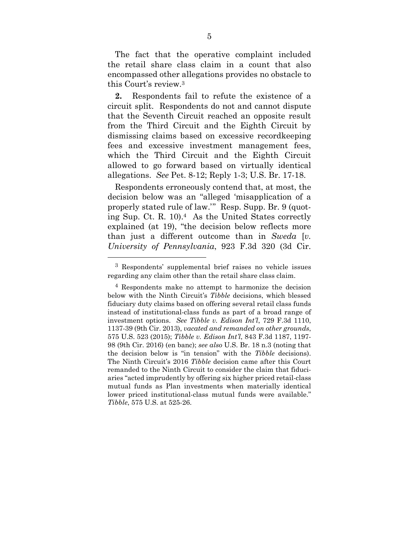The fact that the operative complaint included the retail share class claim in a count that also encompassed other allegations provides no obstacle to this Court's review.3

**2.** Respondents fail to refute the existence of a circuit split. Respondents do not and cannot dispute that the Seventh Circuit reached an opposite result from the Third Circuit and the Eighth Circuit by dismissing claims based on excessive recordkeeping fees and excessive investment management fees, which the Third Circuit and the Eighth Circuit allowed to go forward based on virtually identical allegations. *See* Pet. 8-12; Reply 1-3; U.S. Br. 17-18.

Respondents erroneously contend that, at most, the decision below was an "alleged 'misapplication of a properly stated rule of law.'" Resp. Supp. Br. 9 (quoting Sup. Ct. R. 10).4 As the United States correctly explained (at 19), "the decision below reflects more than just a different outcome than in *Sweda* [*v. University of Pennsylvania*, 923 F.3d 320 (3d Cir.

<u>.</u>

<sup>3</sup> Respondents' supplemental brief raises no vehicle issues regarding any claim other than the retail share class claim.

<sup>4</sup> Respondents make no attempt to harmonize the decision below with the Ninth Circuit's *Tibble* decisions, which blessed fiduciary duty claims based on offering several retail class funds instead of institutional-class funds as part of a broad range of investment options. *See Tibble v. Edison Int'l*, 729 F.3d 1110, 1137-39 (9th Cir. 2013), *vacated and remanded on other grounds*, 575 U.S. 523 (2015); *Tibble v. Edison Int'l*, 843 F.3d 1187, 1197- 98 (9th Cir. 2016) (en banc); *see also* U.S. Br. 18 n.3 (noting that the decision below is "in tension" with the *Tibble* decisions). The Ninth Circuit's 2016 *Tibble* decision came after this Court remanded to the Ninth Circuit to consider the claim that fiduciaries "acted imprudently by offering six higher priced retail-class mutual funds as Plan investments when materially identical lower priced institutional-class mutual funds were available." *Tibble*, 575 U.S. at 525-26.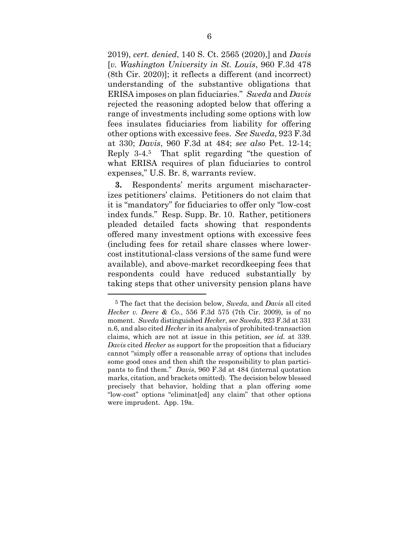2019), *cert. denied*, 140 S. Ct. 2565 (2020),] and *Davis* [*v. Washington University in St. Louis*, 960 F.3d 478 (8th Cir. 2020)]; it reflects a different (and incorrect) understanding of the substantive obligations that ERISA imposes on plan fiduciaries." *Sweda* and *Davis* rejected the reasoning adopted below that offering a range of investments including some options with low fees insulates fiduciaries from liability for offering other options with excessive fees. *See Sweda*, 923 F.3d at 330; *Davis*, 960 F.3d at 484; *see also* Pet. 12-14; Reply 3-4.5 That split regarding "the question of what ERISA requires of plan fiduciaries to control expenses," U.S. Br. 8, warrants review.

**3.** Respondents' merits argument mischaracterizes petitioners' claims. Petitioners do not claim that it is "mandatory" for fiduciaries to offer only "low-cost index funds." Resp. Supp. Br. 10. Rather, petitioners pleaded detailed facts showing that respondents offered many investment options with excessive fees (including fees for retail share classes where lowercost institutional-class versions of the same fund were available), and above-market recordkeeping fees that respondents could have reduced substantially by taking steps that other university pension plans have

1

<sup>5</sup> The fact that the decision below, *Sweda*, and *Davis* all cited *Hecker v. Deere & Co.*, 556 F.3d 575 (7th Cir. 2009), is of no moment. *Sweda* distinguished *Hecker*, *see Sweda*, 923 F.3d at 331 n.6, and also cited *Hecker* in its analysis of prohibited-transaction claims, which are not at issue in this petition, *see id.* at 339. *Davis* cited *Hecker* as support for the proposition that a fiduciary cannot "simply offer a reasonable array of options that includes some good ones and then shift the responsibility to plan participants to find them." *Davis*, 960 F.3d at 484 (internal quotation marks, citation, and brackets omitted). The decision below blessed precisely that behavior, holding that a plan offering some "low-cost" options "eliminat[ed] any claim" that other options were imprudent. App. 19a.